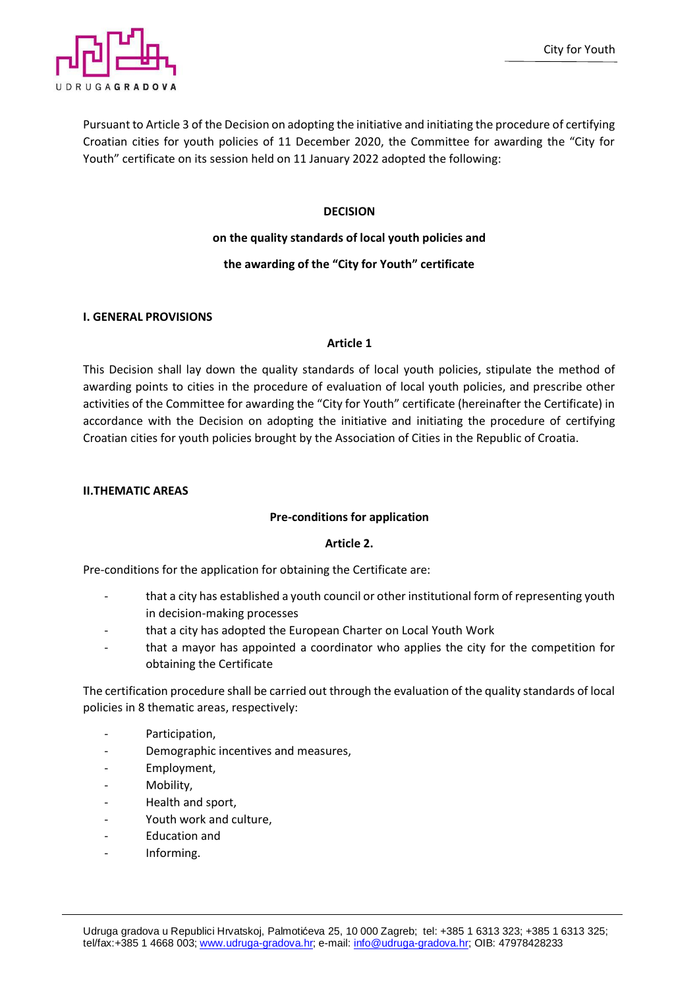

Pursuant to Article 3 of the Decision on adopting the initiative and initiating the procedure of certifying Croatian cities for youth policies of 11 December 2020, the Committee for awarding the "City for Youth" certificate on its session held on 11 January 2022 adopted the following:

# **DECISION**

# **on the quality standards of local youth policies and**

# **the awarding of the "City for Youth" certificate**

## **I. GENERAL PROVISIONS**

## **Article 1**

This Decision shall lay down the quality standards of local youth policies, stipulate the method of awarding points to cities in the procedure of evaluation of local youth policies, and prescribe other activities of the Committee for awarding the "City for Youth" certificate (hereinafter the Certificate) in accordance with the Decision on adopting the initiative and initiating the procedure of certifying Croatian cities for youth policies brought by the Association of Cities in the Republic of Croatia.

## **II.THEMATIC AREAS**

# **Pre-conditions for application**

# **Article 2.**

Pre-conditions for the application for obtaining the Certificate are:

- that a city has established a youth council or other institutional form of representing youth in decision-making processes
- that a city has adopted the European Charter on Local Youth Work
- that a mayor has appointed a coordinator who applies the city for the competition for obtaining the Certificate

The certification procedure shall be carried out through the evaluation of the quality standards of local policies in 8 thematic areas, respectively:

- Participation,
- Demographic incentives and measures,
- Employment,
- Mobility,
- Health and sport,
- Youth work and culture,
- Education and
- Informing.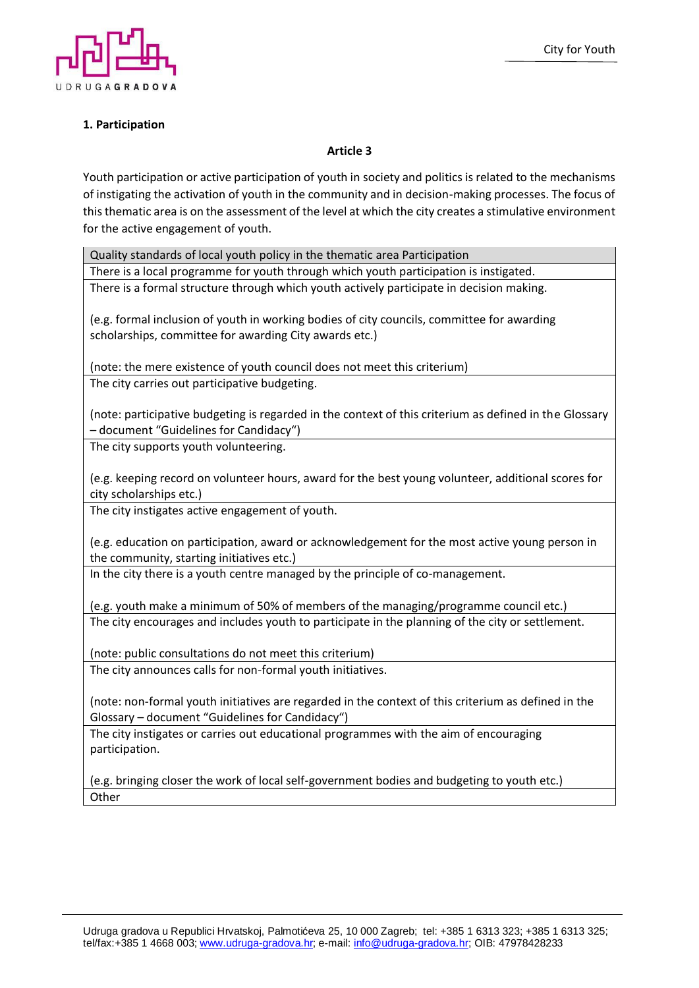

# **1. Participation**

## **Article 3**

Youth participation or active participation of youth in society and politics is related to the mechanisms of instigating the activation of youth in the community and in decision-making processes. The focus of this thematic area is on the assessment of the level at which the city creates a stimulative environment for the active engagement of youth.

Quality standards of local youth policy in the thematic area Participation

There is a local programme for youth through which youth participation is instigated.

There is a formal structure through which youth actively participate in decision making.

(e.g. formal inclusion of youth in working bodies of city councils, committee for awarding scholarships, committee for awarding City awards etc.)

(note: the mere existence of youth council does not meet this criterium) The city carries out participative budgeting.

(note: participative budgeting is regarded in the context of this criterium as defined in the Glossary – document "Guidelines for Candidacy")

The city supports youth volunteering.

(e.g. keeping record on volunteer hours, award for the best young volunteer, additional scores for city scholarships etc.)

The city instigates active engagement of youth.

(e.g. education on participation, award or acknowledgement for the most active young person in the community, starting initiatives etc.)

In the city there is a youth centre managed by the principle of co-management.

(e.g. youth make a minimum of 50% of members of the managing/programme council etc.) The city encourages and includes youth to participate in the planning of the city or settlement.

(note: public consultations do not meet this criterium) The city announces calls for non-formal youth initiatives.

(note: non-formal youth initiatives are regarded in the context of this criterium as defined in the Glossary – document "Guidelines for Candidacy")

The city instigates or carries out educational programmes with the aim of encouraging participation.

(e.g. bringing closer the work of local self-government bodies and budgeting to youth etc.) **Other**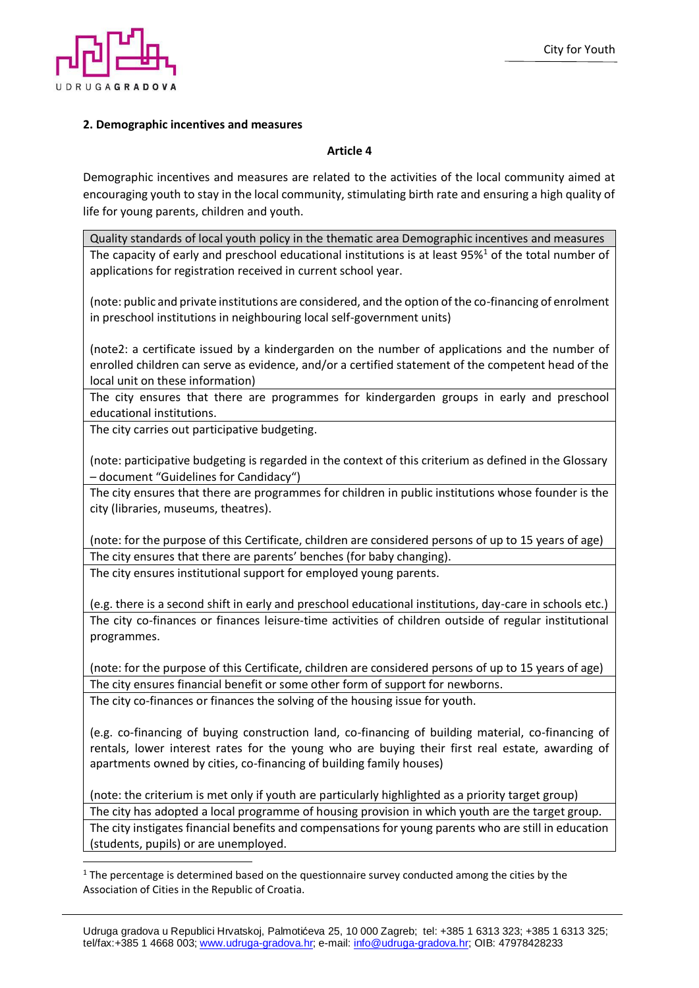

## **2. Demographic incentives and measures**

### **Article 4**

Demographic incentives and measures are related to the activities of the local community aimed at encouraging youth to stay in the local community, stimulating birth rate and ensuring a high quality of life for young parents, children and youth.

Quality standards of local youth policy in the thematic area Demographic incentives and measures The capacity of early and preschool educational institutions is at least  $95\%$ <sup>1</sup> of the total number of applications for registration received in current school year.

(note: public and private institutions are considered, and the option of the co-financing of enrolment in preschool institutions in neighbouring local self-government units)

(note2: a certificate issued by a kindergarden on the number of applications and the number of enrolled children can serve as evidence, and/or a certified statement of the competent head of the local unit on these information)

The city ensures that there are programmes for kindergarden groups in early and preschool educational institutions.

The city carries out participative budgeting.

(note: participative budgeting is regarded in the context of this criterium as defined in the Glossary – document "Guidelines for Candidacy")

The city ensures that there are programmes for children in public institutions whose founder is the city (libraries, museums, theatres).

(note: for the purpose of this Certificate, children are considered persons of up to 15 years of age) The city ensures that there are parents' benches (for baby changing).

The city ensures institutional support for employed young parents.

(e.g. there is a second shift in early and preschool educational institutions, day-care in schools etc.) The city co-finances or finances leisure-time activities of children outside of regular institutional programmes.

(note: for the purpose of this Certificate, children are considered persons of up to 15 years of age) The city ensures financial benefit or some other form of support for newborns. The city co-finances or finances the solving of the housing issue for youth.

(e.g. co-financing of buying construction land, co-financing of building material, co-financing of rentals, lower interest rates for the young who are buying their first real estate, awarding of apartments owned by cities, co-financing of building family houses)

(note: the criterium is met only if youth are particularly highlighted as a priority target group) The city has adopted a local programme of housing provision in which youth are the target group. The city instigates financial benefits and compensations for young parents who are still in education (students, pupils) or are unemployed.

 $<sup>1</sup>$  The percentage is determined based on the questionnaire survey conducted among the cities by the</sup> Association of Cities in the Republic of Croatia.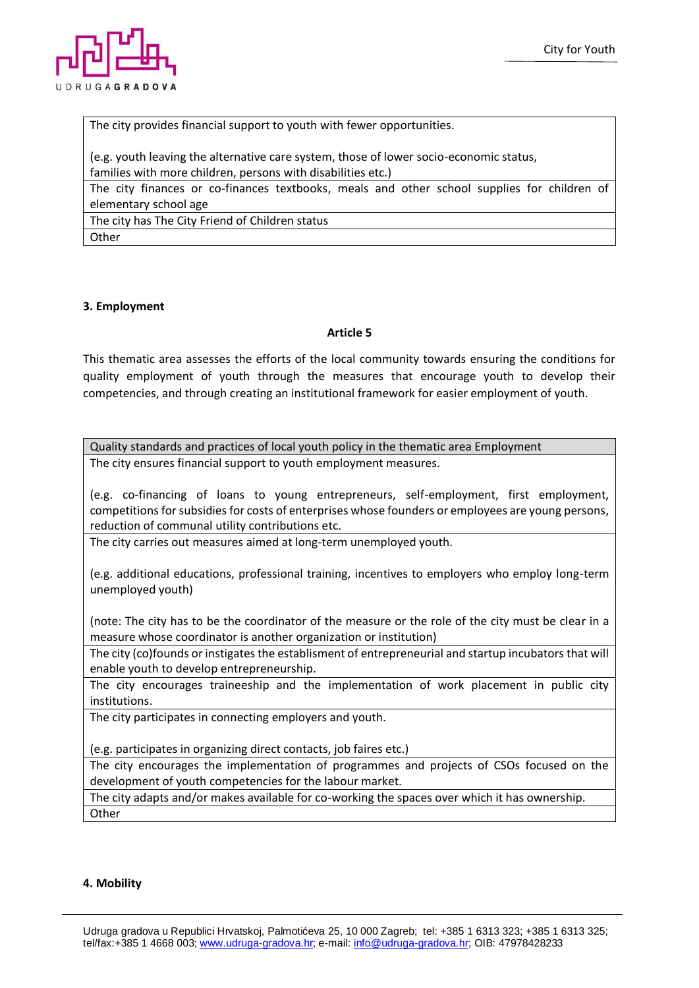

The city provides financial support to youth with fewer opportunities.

(e.g. youth leaving the alternative care system, those of lower socio-economic status, families with more children, persons with disabilities etc.)

The city finances or co-finances textbooks, meals and other school supplies for children of elementary school age

The city has The City Friend of Children status **Other** 

## **3. Employment**

## **Article 5**

This thematic area assesses the efforts of the local community towards ensuring the conditions for quality employment of youth through the measures that encourage youth to develop their competencies, and through creating an institutional framework for easier employment of youth.

Quality standards and practices of local youth policy in the thematic area Employment The city ensures financial support to youth employment measures.

(e.g. co-financing of loans to young entrepreneurs, self-employment, first employment, competitions for subsidies for costs of enterprises whose founders or employees are young persons, reduction of communal utility contributions etc.

The city carries out measures aimed at long-term unemployed youth.

(e.g. additional educations, professional training, incentives to employers who employ long-term unemployed youth)

(note: The city has to be the coordinator of the measure or the role of the city must be clear in a measure whose coordinator is another organization or institution)

The city (co)founds or instigates the establisment of entrepreneurial and startup incubators that will enable youth to develop entrepreneurship.

The city encourages traineeship and the implementation of work placement in public city institutions.

The city participates in connecting employers and youth.

(e.g. participates in organizing direct contacts, job faires etc.)

The city encourages the implementation of programmes and projects of CSOs focused on the development of youth competencies for the labour market.

The city adapts and/or makes available for co-working the spaces over which it has ownership. **Other** 

#### **4. Mobility**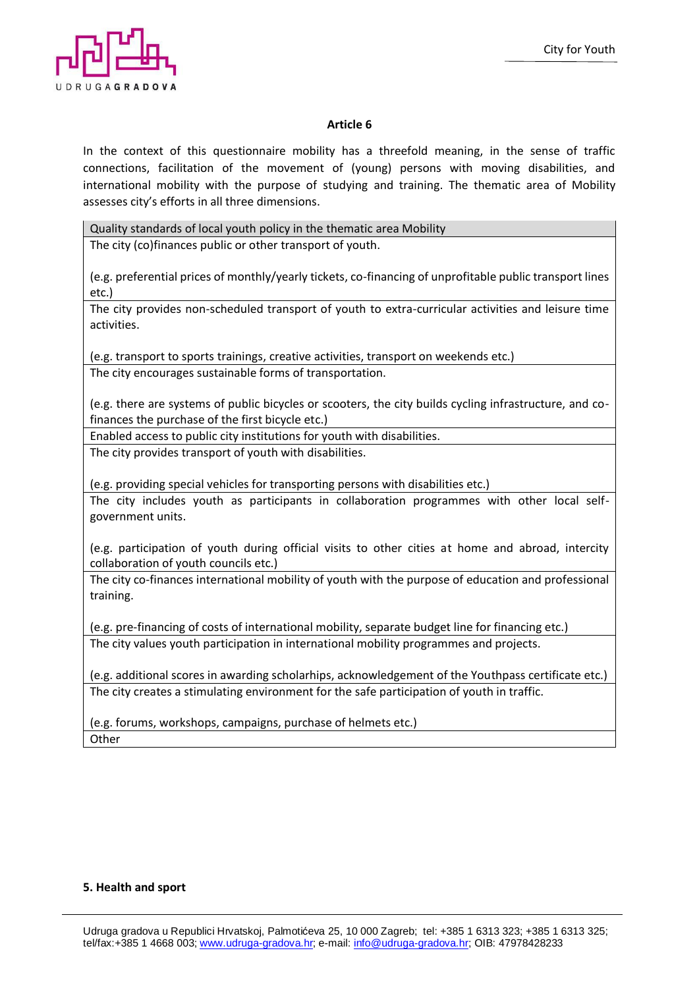

### **Article 6**

In the context of this questionnaire mobility has a threefold meaning, in the sense of traffic connections, facilitation of the movement of (young) persons with moving disabilities, and international mobility with the purpose of studying and training. The thematic area of Mobility assesses city's efforts in all three dimensions.

Quality standards of local youth policy in the thematic area Mobility

The city (co)finances public or other transport of youth.

(e.g. preferential prices of monthly/yearly tickets, co-financing of unprofitable public transport lines etc.)

The city provides non-scheduled transport of youth to extra-curricular activities and leisure time activities.

(e.g. transport to sports trainings, creative activities, transport on weekends etc.) The city encourages sustainable forms of transportation.

(e.g. there are systems of public bicycles or scooters, the city builds cycling infrastructure, and cofinances the purchase of the first bicycle etc.)

Enabled access to public city institutions for youth with disabilities.

The city provides transport of youth with disabilities.

(e.g. providing special vehicles for transporting persons with disabilities etc.) The city includes youth as participants in collaboration programmes with other local selfgovernment units.

(e.g. participation of youth during official visits to other cities at home and abroad, intercity collaboration of youth councils etc.)

The city co-finances international mobility of youth with the purpose of education and professional training.

(e.g. pre-financing of costs of international mobility, separate budget line for financing etc.) The city values youth participation in international mobility programmes and projects.

(e.g. additional scores in awarding scholarhips, acknowledgement of the Youthpass certificate etc.) The city creates a stimulating environment for the safe participation of youth in traffic.

(e.g. forums, workshops, campaigns, purchase of helmets etc.) **Other** 

#### **5. Health and sport**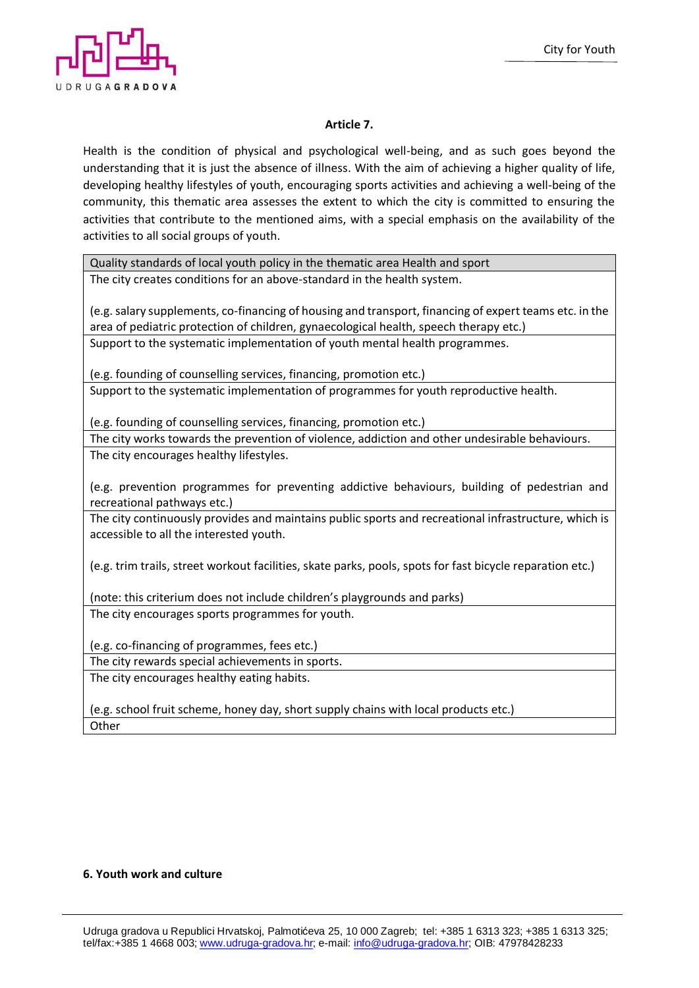

# **Article 7.**

Health is the condition of physical and psychological well-being, and as such goes beyond the understanding that it is just the absence of illness. With the aim of achieving a higher quality of life, developing healthy lifestyles of youth, encouraging sports activities and achieving a well-being of the community, this thematic area assesses the extent to which the city is committed to ensuring the activities that contribute to the mentioned aims, with a special emphasis on the availability of the activities to all social groups of youth.

Quality standards of local youth policy in the thematic area Health and sport The city creates conditions for an above-standard in the health system.

(e.g.salary supplements, co-financing of housing and transport, financing of expert teams etc. in the area of pediatric protection of children, gynaecological health, speech therapy etc.) Support to the systematic implementation of youth mental health programmes.

(e.g. founding of counselling services, financing, promotion etc.) Support to the systematic implementation of programmes for youth reproductive health.

(e.g. founding of counselling services, financing, promotion etc.)

The city works towards the prevention of violence, addiction and other undesirable behaviours. The city encourages healthy lifestyles.

(e.g. prevention programmes for preventing addictive behaviours, building of pedestrian and recreational pathways etc.)

The city continuously provides and maintains public sports and recreational infrastructure, which is accessible to all the interested youth.

(e.g. trim trails, street workout facilities, skate parks, pools, spots for fast bicycle reparation etc.)

(note: this criterium does not include children's playgrounds and parks) The city encourages sports programmes for youth.

(e.g. co-financing of programmes, fees etc.)

The city rewards special achievements in sports.

The city encourages healthy eating habits.

(e.g. school fruit scheme, honey day, short supply chains with local products etc.) **Other** 

#### **6. Youth work and culture**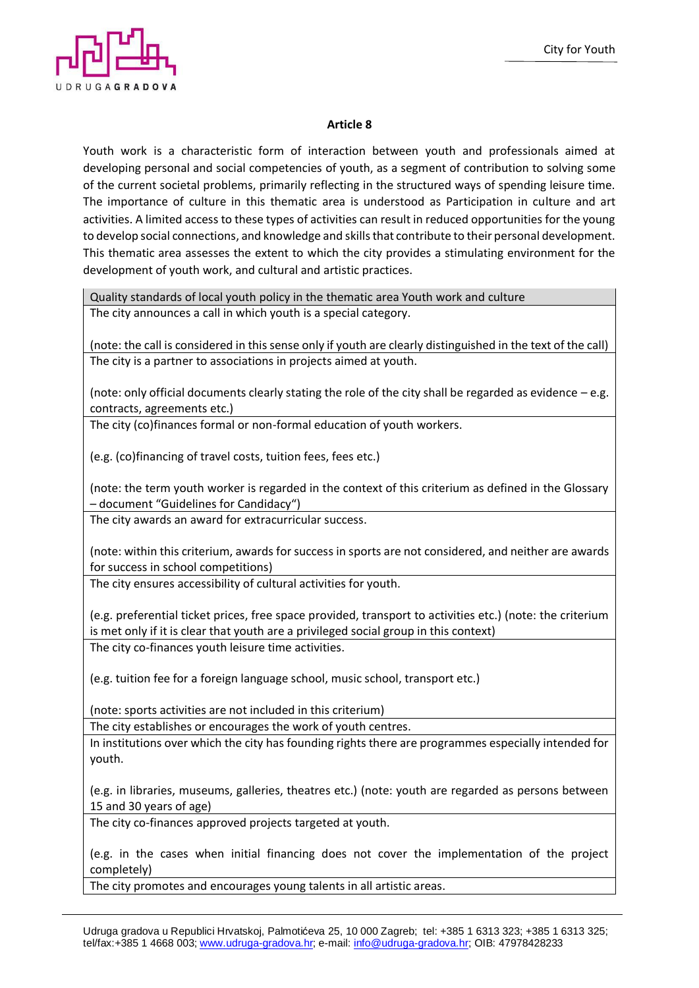

## **Article 8**

Youth work is a characteristic form of interaction between youth and professionals aimed at developing personal and social competencies of youth, as a segment of contribution to solving some of the current societal problems, primarily reflecting in the structured ways of spending leisure time. The importance of culture in this thematic area is understood as Participation in culture and art activities. A limited access to these types of activities can result in reduced opportunities for the young to develop social connections, and knowledge and skills that contribute to their personal development. This thematic area assesses the extent to which the city provides a stimulating environment for the development of youth work, and cultural and artistic practices.

Quality standards of local youth policy in the thematic area Youth work and culture The city announces a call in which youth is a special category.

(note: the call is considered in this sense only if youth are clearly distinguished in the text of the call) The city is a partner to associations in projects aimed at youth.

(note: only official documents clearly stating the role of the city shall be regarded as evidence – e.g. contracts, agreements etc.)

The city (co)finances formal or non-formal education of youth workers.

(e.g. (co)financing of travel costs, tuition fees, fees etc.)

(note: the term youth worker is regarded in the context of this criterium as defined in the Glossary – document "Guidelines for Candidacy")

The city awards an award for extracurricular success.

(note: within this criterium, awards for success in sports are not considered, and neither are awards for success in school competitions)

The city ensures accessibility of cultural activities for youth.

(e.g. preferential ticket prices, free space provided, transport to activities etc.) (note: the criterium is met only if it is clear that youth are a privileged social group in this context) The city co-finances youth leisure time activities.

(e.g. tuition fee for a foreign language school, music school, transport etc.)

(note: sports activities are not included in this criterium)

The city establishes or encourages the work of youth centres.

In institutions over which the city has founding rights there are programmes especially intended for youth.

(e.g. in libraries, museums, galleries, theatres etc.) (note: youth are regarded as persons between 15 and 30 years of age)

The city co-finances approved projects targeted at youth.

(e.g. in the cases when initial financing does not cover the implementation of the project completely)

The city promotes and encourages young talents in all artistic areas.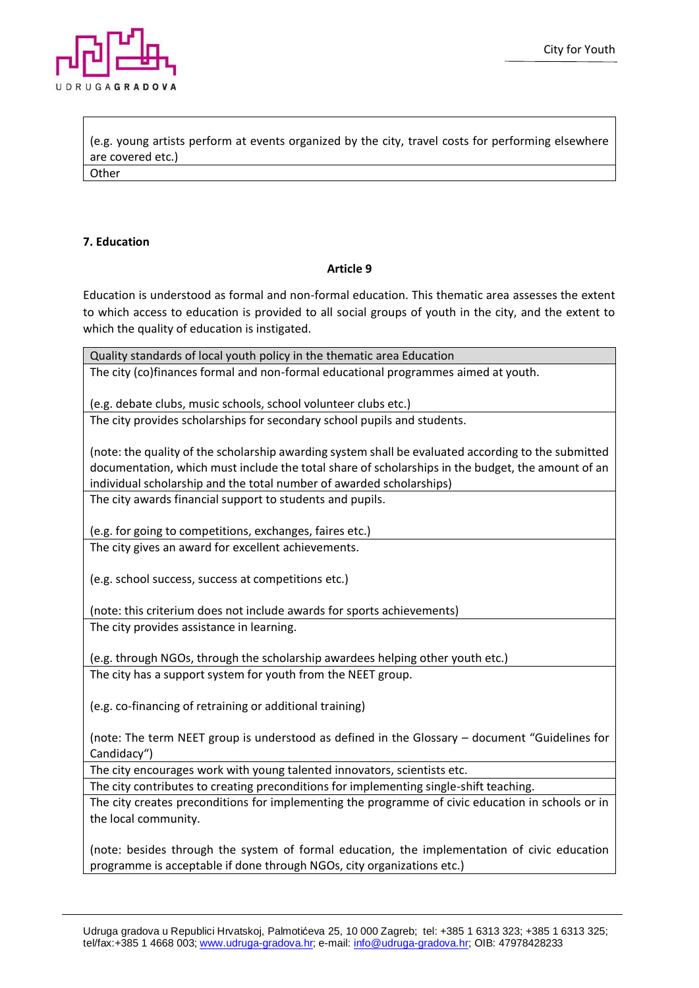

(e.g. young artists perform at events organized by the city, travel costs for performing elsewhere are covered etc.) **Other** 

## **7. Education**

## **Article 9**

Education is understood as formal and non-formal education. This thematic area assesses the extent to which access to education is provided to all social groups of youth in the city, and the extent to which the quality of education is instigated.

Quality standards of local youth policy in the thematic area Education The city (co)finances formal and non-formal educational programmes aimed at youth.

(e.g. debate clubs, music schools, school volunteer clubs etc.)

The city provides scholarships for secondary school pupils and students.

(note: the quality of the scholarship awarding system shall be evaluated according to the submitted documentation, which must include the total share of scholarships in the budget, the amount of an individual scholarship and the total number of awarded scholarships)

The city awards financial support to students and pupils.

(e.g. for going to competitions, exchanges, faires etc.)

The city gives an award for excellent achievements.

(e.g. school success, success at competitions etc.)

(note: this criterium does not include awards for sports achievements) The city provides assistance in learning.

(e.g. through NGOs, through the scholarship awardees helping other youth etc.) The city has a support system for youth from the NEET group.

(e.g. co-financing of retraining or additional training)

(note: The term NEET group is understood as defined in the Glossary – document "Guidelines for Candidacy")

The city encourages work with young talented innovators, scientists etc.

The city contributes to creating preconditions for implementing single-shift teaching.

The city creates preconditions for implementing the programme of civic education in schools or in the local community.

(note: besides through the system of formal education, the implementation of civic education programme is acceptable if done through NGOs, city organizations etc.)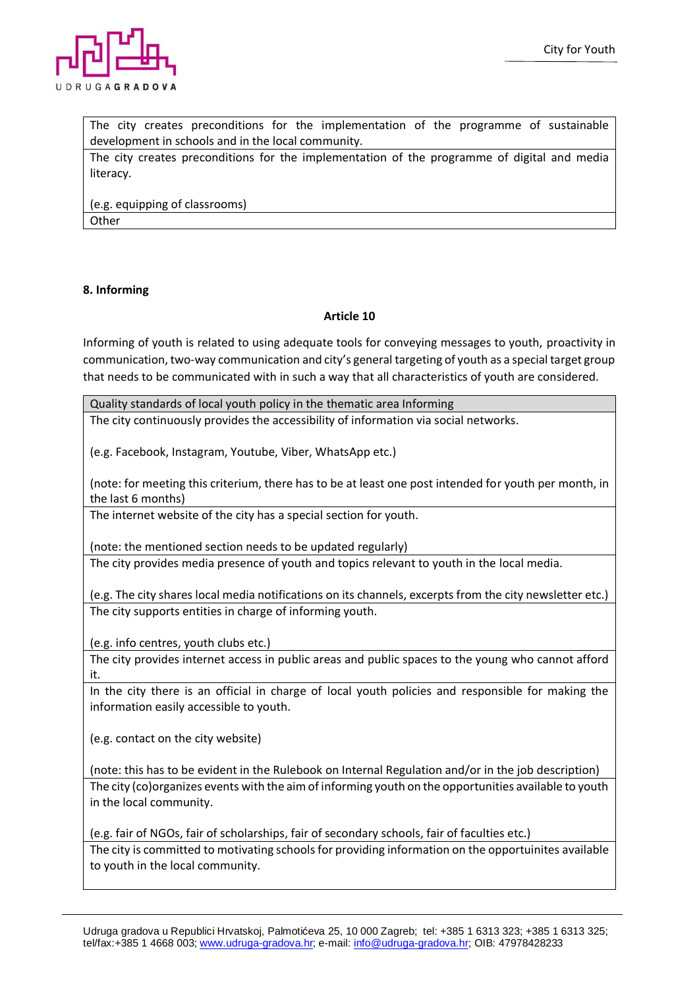

The city creates preconditions for the implementation of the programme of sustainable development in schools and in the local community.

The city creates preconditions for the implementation of the programme of digital and media literacy.

(e.g. equipping of classrooms) **Other** 

## **8. Informing**

## **Article 10**

Informing of youth is related to using adequate tools for conveying messages to youth, proactivity in communication, two-way communication and city's general targeting of youth as a special target group that needs to be communicated with in such a way that all characteristics of youth are considered.

Quality standards of local youth policy in the thematic area Informing

The city continuously provides the accessibility of information via social networks.

(e.g. Facebook, Instagram, Youtube, Viber, WhatsApp etc.)

(note: for meeting this criterium, there has to be at least one post intended for youth per month, in the last 6 months)

The internet website of the city has a special section for youth.

(note: the mentioned section needs to be updated regularly)

The city provides media presence of youth and topics relevant to youth in the local media.

(e.g. The city shares local media notifications on its channels, excerpts from the city newsletter etc.) The city supports entities in charge of informing youth.

(e.g. info centres, youth clubs etc.)

The city provides internet access in public areas and public spaces to the young who cannot afford it.

In the city there is an official in charge of local youth policies and responsible for making the information easily accessible to youth.

(e.g. contact on the city website)

(note: this has to be evident in the Rulebook on Internal Regulation and/or in the job description) The city (co)organizes events with the aim of informing youth on the opportunities available to youth in the local community.

(e.g. fair of NGOs, fair of scholarships, fair of secondary schools, fair of faculties etc.)

The city is committed to motivating schools for providing information on the opportuinites available to youth in the local community.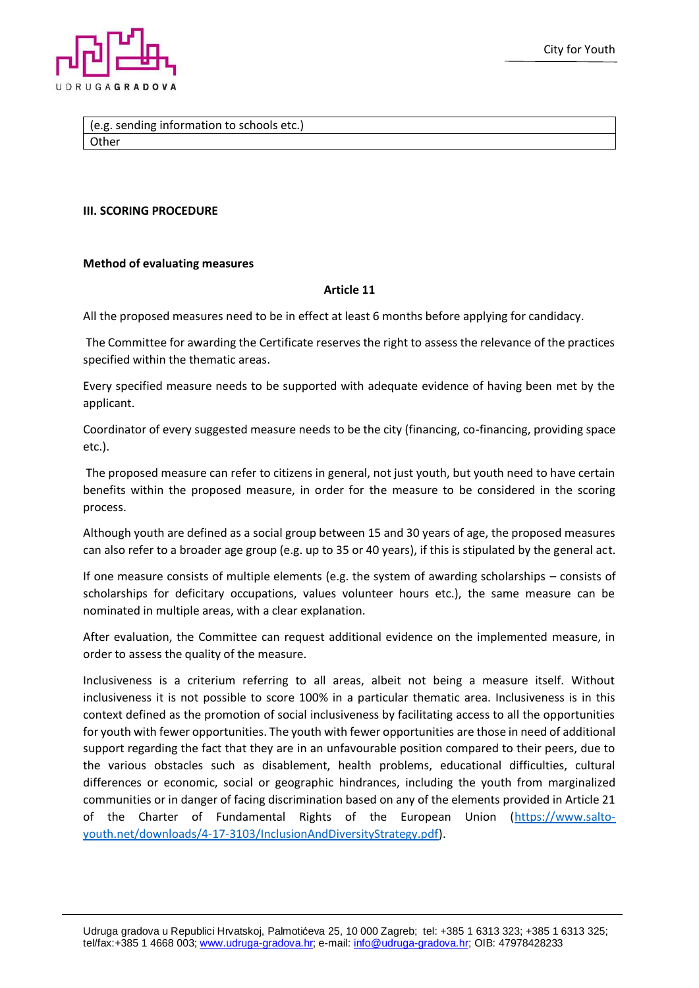

(e.g. sending information to schools etc.) **Other** 

### **III. SCORING PROCEDURE**

#### **Method of evaluating measures**

#### **Article 11**

All the proposed measures need to be in effect at least 6 months before applying for candidacy.

The Committee for awarding the Certificate reserves the right to assess the relevance of the practices specified within the thematic areas.

Every specified measure needs to be supported with adequate evidence of having been met by the applicant.

Coordinator of every suggested measure needs to be the city (financing, co-financing, providing space etc.).

The proposed measure can refer to citizens in general, not just youth, but youth need to have certain benefits within the proposed measure, in order for the measure to be considered in the scoring process.

Although youth are defined as a social group between 15 and 30 years of age, the proposed measures can also refer to a broader age group (e.g. up to 35 or 40 years), if this is stipulated by the general act.

If one measure consists of multiple elements (e.g. the system of awarding scholarships – consists of scholarships for deficitary occupations, values volunteer hours etc.), the same measure can be nominated in multiple areas, with a clear explanation.

After evaluation, the Committee can request additional evidence on the implemented measure, in order to assess the quality of the measure.

Inclusiveness is a criterium referring to all areas, albeit not being a measure itself. Without inclusiveness it is not possible to score 100% in a particular thematic area. Inclusiveness is in this context defined as the promotion of social inclusiveness by facilitating access to all the opportunities for youth with fewer opportunities. The youth with fewer opportunities are those in need of additional support regarding the fact that they are in an unfavourable position compared to their peers, due to the various obstacles such as disablement, health problems, educational difficulties, cultural differences or economic, social or geographic hindrances, including the youth from marginalized communities or in danger of facing discrimination based on any of the elements provided in Article 21 of the Charter of Fundamental Rights of the European Union [\(https://www.salto](https://www.salto-youth.net/downloads/4-17-3103/InclusionAndDiversityStrategy.pdf)[youth.net/downloads/4-17-3103/InclusionAndDiversityStrategy.pdf\)](https://www.salto-youth.net/downloads/4-17-3103/InclusionAndDiversityStrategy.pdf).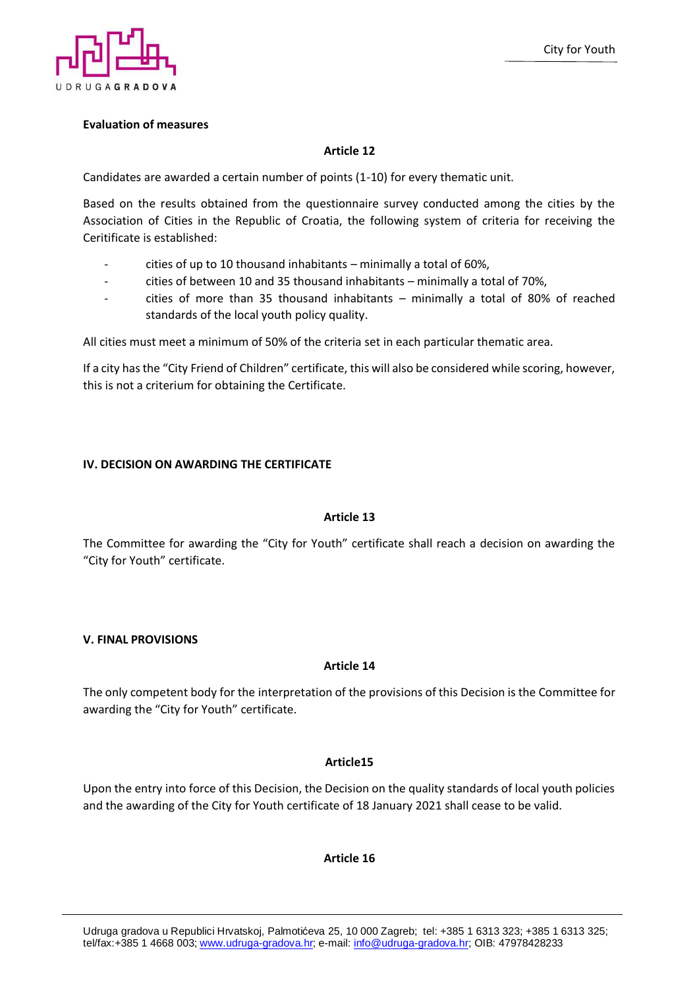

## **Evaluation of measures**

## **Article 12**

Candidates are awarded a certain number of points (1-10) for every thematic unit.

Based on the results obtained from the questionnaire survey conducted among the cities by the Association of Cities in the Republic of Croatia, the following system of criteria for receiving the Ceritificate is established:

- cities of up to 10 thousand inhabitants minimally a total of 60%,
- cities of between 10 and 35 thousand inhabitants minimally a total of 70%,
- cities of more than 35 thousand inhabitants minimally a total of 80% of reached standards of the local youth policy quality.

All cities must meet a minimum of 50% of the criteria set in each particular thematic area.

If a city has the "City Friend of Children" certificate, this will also be considered while scoring, however, this is not a criterium for obtaining the Certificate.

## **IV. DECISION ON AWARDING THE CERTIFICATE**

## **Article 13**

The Committee for awarding the "City for Youth" certificate shall reach a decision on awarding the "City for Youth" certificate.

## **V. FINAL PROVISIONS**

## **Article 14**

The only competent body for the interpretation of the provisions of this Decision is the Committee for awarding the "City for Youth" certificate.

## **Article15**

Upon the entry into force of this Decision, the Decision on the quality standards of local youth policies and the awarding of the City for Youth certificate of 18 January 2021 shall cease to be valid.

## **Article 16**